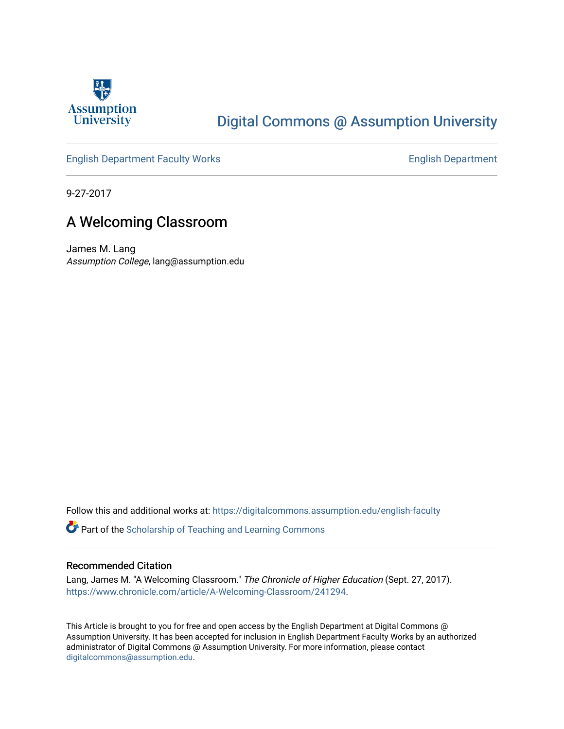

## [Digital Commons @ Assumption University](https://digitalcommons.assumption.edu/)

#### [English Department Faculty Works](https://digitalcommons.assumption.edu/english-faculty) **English Department**

9-27-2017

### A Welcoming Classroom

James M. Lang Assumption College, lang@assumption.edu

Follow this and additional works at: [https://digitalcommons.assumption.edu/english-faculty](https://digitalcommons.assumption.edu/english-faculty?utm_source=digitalcommons.assumption.edu%2Fenglish-faculty%2F27&utm_medium=PDF&utm_campaign=PDFCoverPages) 

Part of the [Scholarship of Teaching and Learning Commons](http://network.bepress.com/hgg/discipline/1328?utm_source=digitalcommons.assumption.edu%2Fenglish-faculty%2F27&utm_medium=PDF&utm_campaign=PDFCoverPages) 

#### Recommended Citation

Lang, James M. "A Welcoming Classroom." The Chronicle of Higher Education (Sept. 27, 2017). [https://www.chronicle.com/article/A-Welcoming-Classroom/241294.](https://www.chronicle.com/article/A-Welcoming-Classroom/241294)

This Article is brought to you for free and open access by the English Department at Digital Commons @ Assumption University. It has been accepted for inclusion in English Department Faculty Works by an authorized administrator of Digital Commons @ Assumption University. For more information, please contact [digitalcommons@assumption.edu](mailto:digitalcommons@assumption.edu).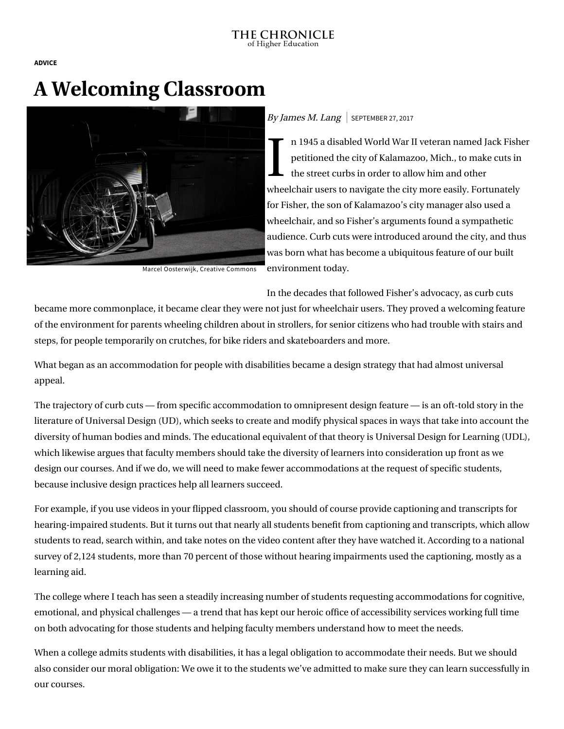**[ADVICE](https://www.chronicle.com/section/Advice/66)**

# **A Welcoming Classroom**



Marcel Oosterwijk, Creative [Commons](https://creativecommons.org/licenses/by-sa/2.0/)

#### By James M. Lang | SEPTEMBER 27, 2017

 $\begin{array}{c} \n\begin{array}{c}\n\text{n} \\
\text{pe} \\
\text{the} \\
\text{the} \\
\end{array}\n\end{array}$ n 1945 a disabled World War II veteran named [Jack Fisher](https://www.independentliving.org/docs3/brown99a.html) petitioned the city of Kalamazoo, Mich., to make cuts in the street curbs in order to allow him and other wheelchair users to navigate the city more easily. Fortunately for Fisher, the son of Kalamazoo's city manager also used a wheelchair, and so Fisher's arguments found a sympathetic audience. Curb cuts were introduced around the city, and thus was born what has become a ubiquitous feature of our built environment today.

In the decades that followed Fisher's advocacy, as curb cuts

became more commonplace, it became clear they were not just for wheelchair users. They proved a welcoming feature of the environment for parents wheeling children about in strollers, for senior citizens who had trouble with stairs and steps, for people temporarily on crutches, for bike riders and skateboarders and more.

What began as an accommodation for people with disabilities became a design strategy that had almost universal appeal.

The trajectory of curb cuts — from specific accommodation to omnipresent design feature — is an oft-told story in the literature of Universal Design (UD), which seeks to create and modify physical spaces in ways that take into account the diversity of human bodies and minds. The educational equivalent of that theory is [Universal Design for Learning](http://udloncampus.cast.org/) (UDL), which likewise argues that faculty members should take the diversity of learners into consideration up front as we design our courses. And if we do, we will need to make fewer accommodations at the request of specific students, because inclusive design practices help all learners succeed.

For example, if you use videos in your flipped classroom, you should of course provide captioning and transcripts for hearing-impaired students. But it turns out that nearly all students benefit from captioning and transcripts, which allow [students to read, search within, and take notes on the video content after they have watched it. According to a national](http://www.3playmedia.com/resources/industry-studies/student-uses-of-closed-captions-and-transcripts/) survey of 2,124 students, more than 70 percent of those without hearing impairments used the captioning, mostly as a learning aid.

The college where I teach has seen a steadily increasing number of students requesting accommodations for cognitive, emotional, and physical challenges — a trend that has kept our heroic office of accessibility services working full time on both advocating for those students and helping faculty members understand how to meet the needs.

When a college admits students with disabilities, it has a legal obligation to accommodate their needs. But we should also consider our moral obligation: We owe it to the students we've admitted to make sure they can learn successfully in our courses.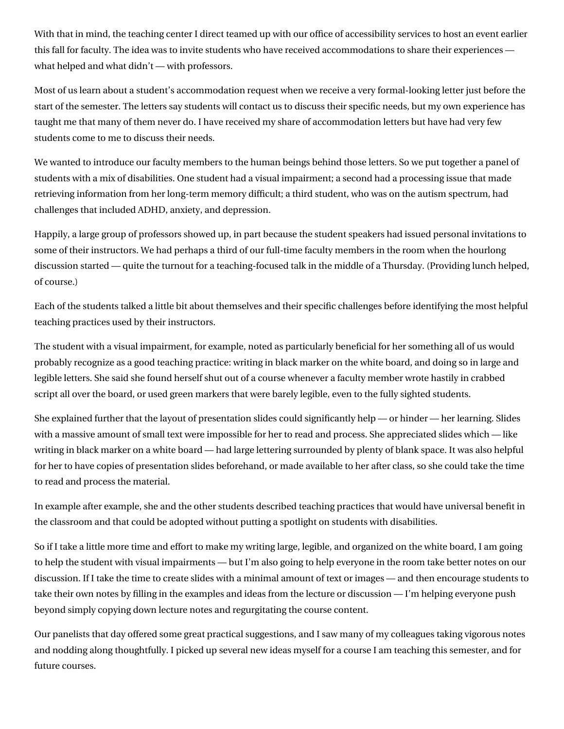With that in mind, the teaching center I direct teamed up with our office of accessibility services to host an event earlier this fall for faculty. The idea was to invite students who have received accommodations to share their experiences what helped and what didn't — with professors.

Most of us learn about a student's accommodation request when we receive a very formal-looking letter just before the start of the semester. The letters say students will contact us to discuss their specific needs, but my own experience has taught me that many of them never do. I have received my share of accommodation letters but have had very few students come to me to discuss their needs.

We wanted to introduce our faculty members to the human beings behind those letters. So we put together a panel of students with a mix of disabilities. One student had a visual impairment; a second had a processing issue that made retrieving information from her long-term memory difficult; a third student, who was on the autism spectrum, had challenges that included ADHD, anxiety, and depression.

Happily, a large group of professors showed up, in part because the student speakers had issued personal invitations to some of their instructors. We had perhaps a third of our full-time faculty members in the room when the hourlong discussion started — quite the turnout for a teaching-focused talk in the middle of a Thursday. (Providing lunch helped, of course.)

Each of the students talked a little bit about themselves and their specific challenges before identifying the most helpful teaching practices used by their instructors.

The student with a visual impairment, for example, noted as particularly beneficial for her something all of us would probably recognize as a good teaching practice: writing in black marker on the white board, and doing so in large and legible letters. She said she found herself shut out of a course whenever a faculty member wrote hastily in crabbed script all over the board, or used green markers that were barely legible, even to the fully sighted students.

She explained further that the layout of presentation slides could significantly help — or hinder — her learning. Slides with a massive amount of small text were impossible for her to read and process. She appreciated slides which — like writing in black marker on a white board — had large lettering surrounded by plenty of blank space. It was also helpful for her to have copies of presentation slides beforehand, or made available to her after class, so she could take the time to read and process the material.

In example after example, she and the other students described teaching practices that would have universal benefit in the classroom and that could be adopted without putting a spotlight on students with disabilities.

So if I take a little more time and effort to make my writing large, legible, and organized on the white board, I am going to help the student with visual impairments — but I'm also going to help everyone in the room take better notes on our discussion. If I take the time to create slides with a minimal amount of text or images — and then encourage students to take their own notes by filling in the examples and ideas from the lecture or discussion — I'm helping everyone push beyond simply copying down lecture notes and regurgitating the course content.

Our panelists that day offered some great practical suggestions, and I saw many of my colleagues taking vigorous notes and nodding along thoughtfully. I picked up several new ideas myself for a course I am teaching this semester, and for future courses.